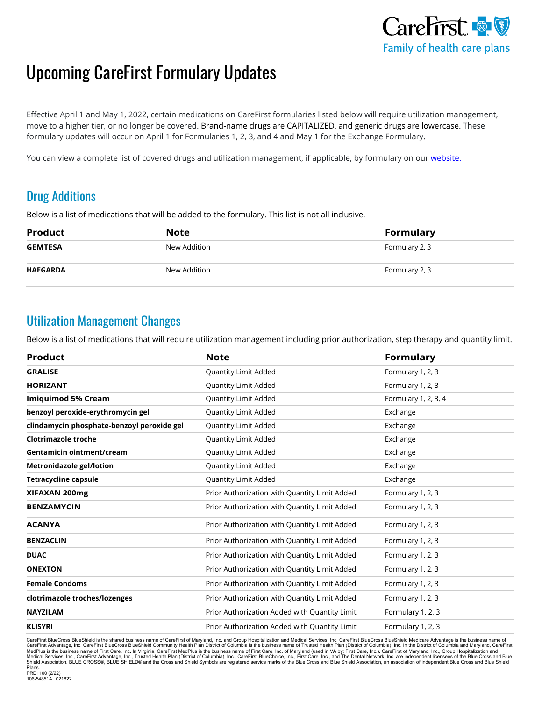

## Upcoming CareFirst Formulary Updates

 move to a higher tier, or no longer be covered. Brand-name drugs are CAPITALIZED, and generic drugs are lowercase. These Effective April 1 and May 1, 2022, certain medications on CareFirst formularies listed below will require utilization management, formulary updates will occur on April 1 for Formularies 1, 2, 3, and 4 and May 1 for the Exchange Formulary.

You can view a complete list of covered drugs and utilization management, if applicable, by formulary on our website.

## Drug Additions

Below is a list of medications that will be added to the formulary. This list is not all inclusive.

| <b>Product</b>  | Note         | <b>Formulary</b> |
|-----------------|--------------|------------------|
| <b>GEMTESA</b>  | New Addition | Formulary 2, 3   |
| <b>HAEGARDA</b> | New Addition | Formulary 2, 3   |

## Utilization Management Changes

Below is a list of medications that will require utilization management including prior authorization, step therapy and quantity limit.

| <b>Product</b>                             | <b>Note</b>                                   | <b>Formulary</b>     |
|--------------------------------------------|-----------------------------------------------|----------------------|
| <b>GRALISE</b>                             | <b>Quantity Limit Added</b>                   | Formulary 1, 2, 3    |
| <b>HORIZANT</b>                            | Quantity Limit Added                          | Formulary 1, 2, 3    |
| <b>Imiquimod 5% Cream</b>                  | Quantity Limit Added                          | Formulary 1, 2, 3, 4 |
| benzoyl peroxide-erythromycin gel          | Quantity Limit Added                          | Exchange             |
| clindamycin phosphate-benzoyl peroxide gel | Quantity Limit Added                          | Exchange             |
| Clotrimazole troche                        | Quantity Limit Added                          | Exchange             |
| Gentamicin ointment/cream                  | <b>Quantity Limit Added</b>                   | Exchange             |
| <b>Metronidazole gel/lotion</b>            | Quantity Limit Added                          | Exchange             |
| <b>Tetracycline capsule</b>                | Quantity Limit Added                          | Exchange             |
| XIFAXAN 200mg                              | Prior Authorization with Quantity Limit Added | Formulary 1, 2, 3    |
| <b>BENZAMYCIN</b>                          | Prior Authorization with Quantity Limit Added | Formulary 1, 2, 3    |
| <b>ACANYA</b>                              | Prior Authorization with Quantity Limit Added | Formulary 1, 2, 3    |
| <b>BENZACLIN</b>                           | Prior Authorization with Quantity Limit Added | Formulary 1, 2, 3    |
| <b>DUAC</b>                                | Prior Authorization with Quantity Limit Added | Formulary 1, 2, 3    |
| <b>ONEXTON</b>                             | Prior Authorization with Quantity Limit Added | Formulary 1, 2, 3    |
| <b>Female Condoms</b>                      | Prior Authorization with Quantity Limit Added | Formulary 1, 2, 3    |
| clotrimazole troches/lozenges              | Prior Authorization with Quantity Limit Added | Formulary 1, 2, 3    |
| <b>NAYZILAM</b>                            | Prior Authorization Added with Quantity Limit | Formulary 1, 2, 3    |
| <b>KLISYRI</b>                             | Prior Authorization Added with Quantity Limit | Formulary 1, 2, 3    |

CareFirst BlueCross BlueShield is the shared business name of CareFirst of Maryland, Inc. and Group Hospitalization and Medical Services, Inc. CareFirst BlueCross BlueShield Medicare Advantage is the business name of<br>Care MedPlus is the business name of First Care, Inc. In Virginia, CareFirst MedPlus is the business name of First Care, Inc. of Maryland (used in VA by: First Care, Inc.). CareFirst of Maryland, Inc., Group Hospitalization and Plans. PRD1100 (2/22)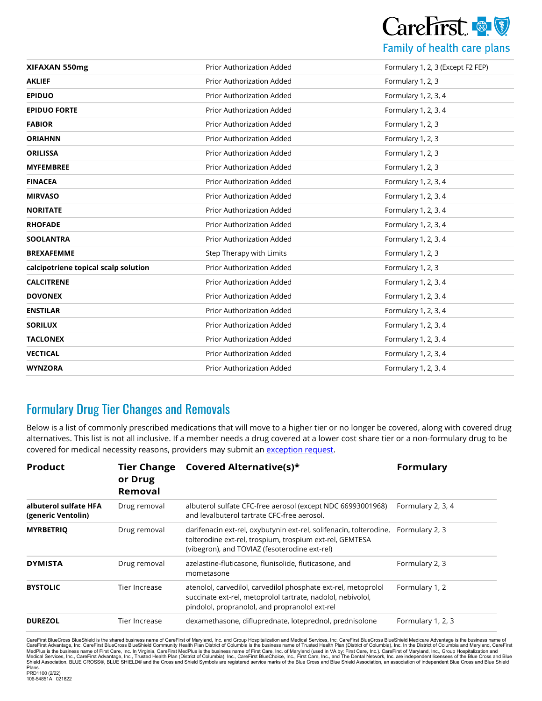

| XIFAXAN 550mg                        | Prior Authorization Added        | Formulary 1, 2, 3 (Except F2 FEP) |  |
|--------------------------------------|----------------------------------|-----------------------------------|--|
| <b>AKLIEF</b>                        | Prior Authorization Added        | Formulary 1, 2, 3                 |  |
| <b>EPIDUO</b>                        | Prior Authorization Added        | Formulary 1, 2, 3, 4              |  |
| <b>EPIDUO FORTE</b>                  | Prior Authorization Added        | Formulary 1, 2, 3, 4              |  |
| <b>FABIOR</b>                        | Prior Authorization Added        | Formulary 1, 2, 3                 |  |
| <b>ORIAHNN</b>                       | <b>Prior Authorization Added</b> | Formulary 1, 2, 3                 |  |
| <b>ORILISSA</b>                      | Prior Authorization Added        | Formulary 1, 2, 3                 |  |
| <b>MYFEMBREE</b>                     | Prior Authorization Added        | Formulary 1, 2, 3                 |  |
| <b>FINACEA</b>                       | <b>Prior Authorization Added</b> | Formulary 1, 2, 3, 4              |  |
| <b>MIRVASO</b>                       | Prior Authorization Added        | Formulary 1, 2, 3, 4              |  |
| <b>NORITATE</b>                      | <b>Prior Authorization Added</b> | Formulary 1, 2, 3, 4              |  |
| <b>RHOFADE</b>                       | <b>Prior Authorization Added</b> | Formulary 1, 2, 3, 4              |  |
| <b>SOOLANTRA</b>                     | Prior Authorization Added        | Formulary 1, 2, 3, 4              |  |
| <b>BREXAFEMME</b>                    | Step Therapy with Limits         | Formulary 1, 2, 3                 |  |
| calcipotriene topical scalp solution | Prior Authorization Added        | Formulary 1, 2, 3                 |  |
| <b>CALCITRENE</b>                    | Prior Authorization Added        | Formulary 1, 2, 3, 4              |  |
| <b>DOVONEX</b>                       | <b>Prior Authorization Added</b> | Formulary 1, 2, 3, 4              |  |
| <b>ENSTILAR</b>                      | Prior Authorization Added        | Formulary 1, 2, 3, 4              |  |
| <b>SORILUX</b>                       | Prior Authorization Added        | Formulary 1, 2, 3, 4              |  |
| <b>TACLONEX</b>                      | Prior Authorization Added        | Formulary 1, 2, 3, 4              |  |
| <b>VECTICAL</b>                      | Prior Authorization Added        | Formulary 1, 2, 3, 4              |  |
| <b>WYNZORA</b>                       | Prior Authorization Added        | Formulary 1, 2, 3, 4              |  |

## Formulary Drug Tier Changes and Removals

 Below is a list of commonly prescribed medications that will move to a higher tier or no longer be covered, along with covered drug alternatives. This list is not all inclusive. If a member needs a drug covered at a lower cost share tier or a non-formulary drug to be covered for medical necessity reasons, providers may submit an [exception request.](https://provider.carefirst.com/providers/pharmacy/pharmacy-exception-requests.page?)

| <b>Product</b>                              | <b>Tier Change</b><br>or Drug<br>Removal | Covered Alternative(s)*                                                                                                                                                                        | <b>Formulary</b>  |
|---------------------------------------------|------------------------------------------|------------------------------------------------------------------------------------------------------------------------------------------------------------------------------------------------|-------------------|
| albuterol sulfate HFA<br>(generic Ventolin) | Drug removal                             | albuterol sulfate CFC-free aerosol (except NDC 66993001968)<br>and levalbuterol tartrate CFC-free aerosol.                                                                                     | Formulary 2, 3, 4 |
| <b>MYRBETRIQ</b>                            | Drug removal                             | darifenacin ext-rel, oxybutynin ext-rel, solifenacin, tolterodine, Formulary 2, 3<br>tolterodine ext-rel, trospium, trospium ext-rel, GEMTESA<br>(vibegron), and TOVIAZ (fesoterodine ext-rel) |                   |
| <b>DYMISTA</b>                              | Drug removal                             | azelastine-fluticasone, flunisolide, fluticasone, and<br>mometasone                                                                                                                            | Formulary 2, 3    |
| <b>BYSTOLIC</b>                             | Tier Increase                            | atenolol, carvedilol, carvedilol phosphate ext-rel, metoprolol<br>succinate ext-rel, metoprolol tartrate, nadolol, nebivolol,<br>pindolol, propranolol, and propranolol ext-rel                | Formulary 1, 2    |
| <b>DUREZOL</b>                              | Tier Increase                            | dexamethasone, difluprednate, loteprednol, prednisolone                                                                                                                                        | Formulary 1, 2, 3 |

CareFirst BlueCross BlueShield is the shared business name of CareFirst of Maryland, Inc. and Group Hospitalization and Medical Services, Inc. CareFirst BlueCross BlueShield Medicare Advantage is the business name of<br>Care MedPlus is the business name of First Care, Inc. In Virginia, CareFirst MedPlus is the business name of First Care, Inc. of Maryland (used in VA by: First Care, Inc.). CareFirst of Maryland, Inc., Group Hospitalization and